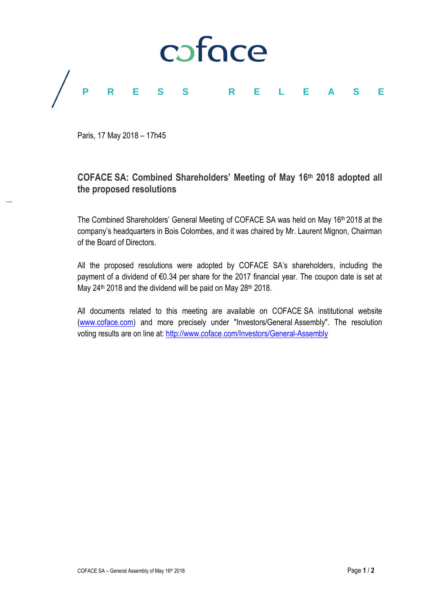

Paris, 17 May 2018 – 17h45

# **COFACE SA: Combined Shareholders' Meeting of May 16 th 2018 adopted all the proposed resolutions**

The Combined Shareholders' General Meeting of COFACE SA was held on May 16<sup>th</sup> 2018 at the company's headquarters in Bois Colombes, and it was chaired by Mr. Laurent Mignon, Chairman of the Board of Directors.

All the proposed resolutions were adopted by COFACE SA's shareholders, including the payment of a dividend of €0.34 per share for the 2017 financial year. The coupon date is set at May 24<sup>th</sup> 2018 and the dividend will be paid on May 28<sup>th</sup> 2018.

All documents related to this meeting are available on COFACE SA institutional website [\(www.coface.com\)](http://www.coface.com/) and more precisely under "Investors/General Assembly". The resolution voting results are on line at:<http://www.coface.com/Investors/General-Assembly>